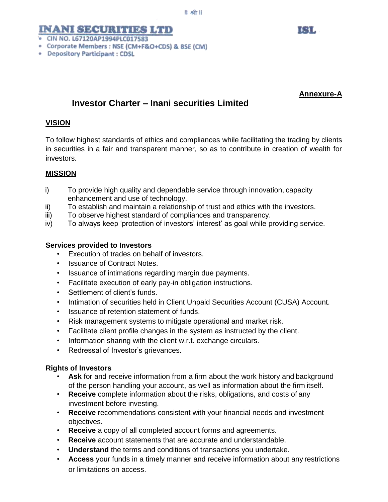# **INANI SECURITIES LTD**

- · CIN NO. L67120AP1994PLC017583
- Corporate Members : NSE (CM+F&O+CDS) & BSE (CM)
- Depository Participant: CDSL

# **Annexure-A**

KHL

# **Investor Charter – Inani securities Limited**

### **VISION**

To follow highest standards of ethics and compliances while facilitating the trading by clients in securities in a fair and transparent manner, so as to contribute in creation of wealth for investors.

#### **MISSION**

- i) To provide high quality and dependable service through innovation, capacity enhancement and use of technology.
- ii) To establish and maintain a relationship of trust and ethics with the investors.
- iii) To observe highest standard of compliances and transparency.
- iv) To always keep 'protection of investors' interest' as goal while providing service.

#### **Services provided to Investors**

- Execution of trades on behalf of investors.
- Issuance of Contract Notes.
- Issuance of intimations regarding margin due payments.
- Facilitate execution of early pay-in obligation instructions.
- Settlement of client's funds.
- Intimation of securities held in Client Unpaid Securities Account (CUSA) Account.
- Issuance of retention statement of funds.
- Risk management systems to mitigate operational and market risk.
- Facilitate client profile changes in the system as instructed by the client.
- Information sharing with the client w.r.t. exchange circulars.
- Redressal of Investor's grievances.

#### **Rights of Investors**

- **Ask** for and receive information from a firm about the work history and background of the person handling your account, as well as information about the firm itself.
- **Receive** complete information about the risks, obligations, and costs of any investment before investing.
- **Receive** recommendations consistent with your financial needs and investment objectives.
- **Receive** a copy of all completed account forms and agreements.
- **Receive** account statements that are accurate and understandable.
- **Understand** the terms and conditions of transactions you undertake.
- **Access** your funds in a timely manner and receive information about any restrictions or limitations on access.

 $||$  aft $||$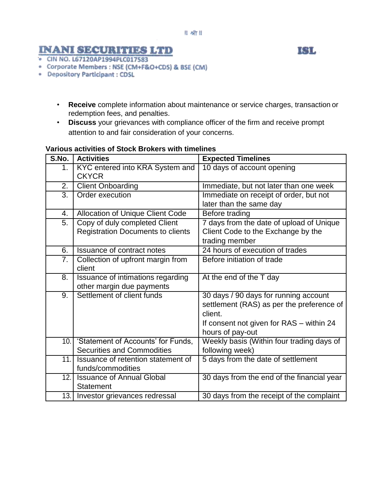#### $|| - 3|| ||$

# **INANI SECURITIES LTD**

- · CIN NO. L67120AP1994PLC017583
- Corporate Members : NSE (CM+F&O+CDS) & BSE (CM)
- · Depository Participant : CDSL
	- **Receive** complete information about maintenance or service charges, transaction or redemption fees, and penalties.
	- **Discuss** your grievances with compliance officer of the firm and receive prompt attention to and fair consideration of your concerns.

| VAIIVUS AGUVILIES VI JUGA DIVAEIS WILII UIIIEIIIIES |                                          |                                            |  |  |
|-----------------------------------------------------|------------------------------------------|--------------------------------------------|--|--|
| S.No.                                               | <b>Activities</b>                        | <b>Expected Timelines</b>                  |  |  |
| 1.                                                  | KYC entered into KRA System and          | 10 days of account opening                 |  |  |
|                                                     | <b>CKYCR</b>                             |                                            |  |  |
| 2.                                                  | <b>Client Onboarding</b>                 | Immediate, but not later than one week     |  |  |
| $\overline{3}$ .                                    | Order execution                          | Immediate on receipt of order, but not     |  |  |
|                                                     |                                          | later than the same day                    |  |  |
| 4.                                                  | <b>Allocation of Unique Client Code</b>  | Before trading                             |  |  |
| 5.                                                  | Copy of duly completed Client            | 7 days from the date of upload of Unique   |  |  |
|                                                     | <b>Registration Documents to clients</b> | Client Code to the Exchange by the         |  |  |
|                                                     |                                          | trading member                             |  |  |
| 6.                                                  | <b>Issuance of contract notes</b>        | 24 hours of execution of trades            |  |  |
| 7.                                                  | Collection of upfront margin from        | Before initiation of trade                 |  |  |
|                                                     | client                                   |                                            |  |  |
| 8.                                                  | Issuance of intimations regarding        | At the end of the T day                    |  |  |
|                                                     | other margin due payments                |                                            |  |  |
| 9.                                                  | Settlement of client funds               | 30 days / 90 days for running account      |  |  |
|                                                     |                                          | settlement (RAS) as per the preference of  |  |  |
|                                                     |                                          | client.                                    |  |  |
|                                                     |                                          | If consent not given for RAS - within 24   |  |  |
|                                                     |                                          | hours of pay-out                           |  |  |
|                                                     | 10. Statement of Accounts' for Funds,    | Weekly basis (Within four trading days of  |  |  |
|                                                     | <b>Securities and Commodities</b>        | following week)                            |  |  |
| 11.1                                                | Issuance of retention statement of       | 5 days from the date of settlement         |  |  |
|                                                     | funds/commodities                        |                                            |  |  |
| 12.1                                                | <b>Issuance of Annual Global</b>         | 30 days from the end of the financial year |  |  |
|                                                     | <b>Statement</b>                         |                                            |  |  |
|                                                     | 13. Investor grievances redressal        | 30 days from the receipt of the complaint  |  |  |

# **Various activities of Stock Brokers with timelines**

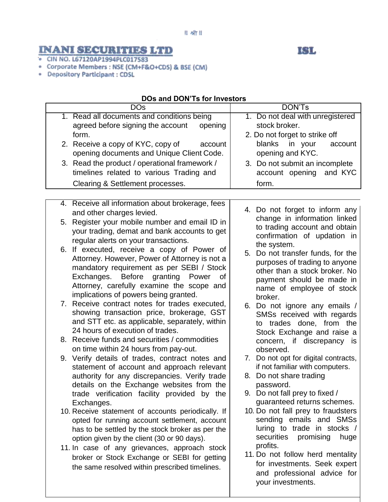#### $|| - 9$ ी $||$

# **INANI SECURITIES LTD**

# IGL,

- · CIN NO. L67120AP1994PLC017583
- Corporate Members : NSE (CM+F&O+CDS) & BSE (CM)
- · Depository Participant : CDSL

# **DOs and DON'Ts for Investors**

| <b>DOs</b>                                                                                          | <b>DON'Ts</b>                           |
|-----------------------------------------------------------------------------------------------------|-----------------------------------------|
| 1. Read all documents and conditions being                                                          | 1. Do not deal with unregistered        |
| agreed before signing the account<br>opening                                                        | stock broker.                           |
| form.                                                                                               | 2. Do not forget to strike off          |
| 2. Receive a copy of KYC, copy of<br>account                                                        | blanks<br>in your<br>account            |
| opening documents and Unique Client Code.                                                           | opening and KYC.                        |
| 3. Read the product / operational framework /                                                       | 3. Do not submit an incomplete          |
| timelines related to various Trading and                                                            | account opening and KYC                 |
| Clearing & Settlement processes.                                                                    | form.                                   |
|                                                                                                     |                                         |
| 4. Receive all information about brokerage, fees                                                    |                                         |
| and other charges levied.                                                                           | 4. Do not forget to inform any          |
| 5. Register your mobile number and email ID in                                                      | change in information linked            |
| your trading, demat and bank accounts to get                                                        | to trading account and obtain           |
|                                                                                                     | confirmation of updation in             |
| regular alerts on your transactions.<br>6. If executed, receive a copy of Power of                  | the system.                             |
|                                                                                                     | 5. Do not transfer funds, for the       |
| Attorney. However, Power of Attorney is not a<br>mandatory requirement as per SEBI / Stock          | purposes of trading to anyone           |
|                                                                                                     | other than a stock broker. No           |
| granting<br>Exchanges.<br><b>Before</b><br>Power<br>0f<br>Attorney, carefully examine the scope and | payment should be made in               |
|                                                                                                     | name of employee of stock               |
| implications of powers being granted.                                                               | broker.                                 |
| 7. Receive contract notes for trades executed,                                                      | 6. Do not ignore any emails /           |
| showing transaction price, brokerage, GST<br>and STT etc. as applicable, separately, within         | SMSs received with regards              |
| 24 hours of execution of trades.                                                                    | trades done, from the<br>to             |
| 8. Receive funds and securities / commodities                                                       | Stock Exchange and raise a              |
| on time within 24 hours from pay-out.                                                               | concern, if discrepancy is<br>observed. |
| 9. Verify details of trades, contract notes and                                                     | 7. Do not opt for digital contracts,    |
| statement of account and approach relevant                                                          | if not familiar with computers.         |
| authority for any discrepancies. Verify trade                                                       | 8. Do not share trading                 |
| details on the Exchange websites from the                                                           | password.                               |
| trade verification facility provided by the                                                         | 9. Do not fall prey to fixed /          |
| Exchanges.                                                                                          | guaranteed returns schemes.             |
| 10. Receive statement of accounts periodically. If                                                  | 10. Do not fall prey to fraudsters      |
| opted for running account settlement, account                                                       | sending emails and SMSs                 |
| has to be settled by the stock broker as per the                                                    | luring to trade in stocks /             |
| option given by the client (30 or 90 days).                                                         | securities<br>promising<br>huge         |
| 11. In case of any grievances, approach stock                                                       | profits.                                |
| broker or Stock Exchange or SEBI for getting                                                        | 11. Do not follow herd mentality        |
| the same resolved within prescribed timelines.                                                      | for investments. Seek expert            |
|                                                                                                     | and professional advice for             |
|                                                                                                     | your investments.                       |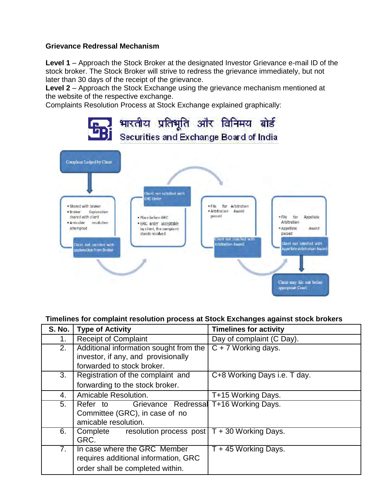## **Grievance Redressal Mechanism**

**Level 1** – Approach the Stock Broker at the designated Investor Grievance e-mail ID of the stock broker. The Stock Broker will strive to redress the grievance immediately, but not later than 30 days of the receipt of the grievance.

Level 2 – Approach the Stock Exchange using the grievance mechanism mentioned at the website of the respective exchange.

Complaints Resolution Process at Stock Exchange explained graphically:



## **Timelines for complaint resolution process at Stock Exchanges against stock brokers**

| S. No. | <b>Type of Activity</b>                                                                                                                                                                                                                                                 | <b>Timelines for activity</b>    |
|--------|-------------------------------------------------------------------------------------------------------------------------------------------------------------------------------------------------------------------------------------------------------------------------|----------------------------------|
| 1.     | <b>Receipt of Complaint</b>                                                                                                                                                                                                                                             | Day of complaint (C Day).        |
| 2.     | Additional information sought from the                                                                                                                                                                                                                                  | $\overline{C}$ + 7 Working days. |
|        | investor, if any, and provisionally                                                                                                                                                                                                                                     |                                  |
|        | forwarded to stock broker.                                                                                                                                                                                                                                              |                                  |
| 3.     | Registration of the complaint and                                                                                                                                                                                                                                       | C+8 Working Days i.e. T day.     |
|        | forwarding to the stock broker.                                                                                                                                                                                                                                         |                                  |
| 4.     | Amicable Resolution.                                                                                                                                                                                                                                                    | T+15 Working Days.               |
| 5.     | Grievance Redressal T+16 Working Days.<br>Refer to the set of the set of the set of the set of the set of the set of the set of the set of the set of the set of the set of the set of the set of the set of the set of the set of the set of the set of the set of the |                                  |
|        | Committee (GRC), in case of no                                                                                                                                                                                                                                          |                                  |
|        | amicable resolution.                                                                                                                                                                                                                                                    |                                  |
| 6.     | Complete resolution process post                                                                                                                                                                                                                                        | T + 30 Working Days.             |
|        | GRC.                                                                                                                                                                                                                                                                    |                                  |
| 7.     | In case where the GRC Member                                                                                                                                                                                                                                            | T + 45 Working Days.             |
|        | requires additional information, GRC                                                                                                                                                                                                                                    |                                  |
|        | order shall be completed within.                                                                                                                                                                                                                                        |                                  |